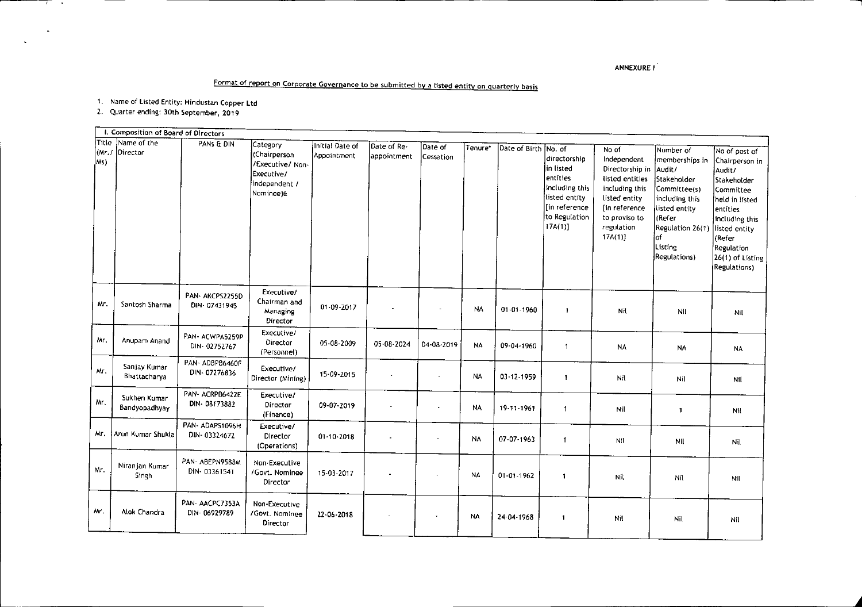## ANNEXURE I

~

## Format of report on Corporate Governance to be submitted by a listed entity on quarterly basis

1. Name of listed Entity: Hindustan Copper Ltd

2. Quarter ending: 30th September, 2019

<del>ति च</del>ार्म क

 $\mathbf{x}$ 

|             | I. Composition of Board of Directors |                                |                                                                                          |                                |                            |                             |           |                      |                                                                                                                         |                                                                                                                                                                     |                                                                                                                                                                         |                                                                                                                                                                                                            |
|-------------|--------------------------------------|--------------------------------|------------------------------------------------------------------------------------------|--------------------------------|----------------------------|-----------------------------|-----------|----------------------|-------------------------------------------------------------------------------------------------------------------------|---------------------------------------------------------------------------------------------------------------------------------------------------------------------|-------------------------------------------------------------------------------------------------------------------------------------------------------------------------|------------------------------------------------------------------------------------------------------------------------------------------------------------------------------------------------------------|
| (Mr)<br>Ms) | Title Name of the<br>Director        | PANS & DIN                     | Category<br>(Chairperson<br>/Executive/ Non-<br>Executive/<br>independent /<br>Nominee)& | Initial Date of<br>Appointment | Date of Re-<br>appointment | Date of<br><b>Cessation</b> | Tenure*   | Date of Birth No. of | ldirectorshia<br>in listed<br>lentities<br>including this<br>listed entity<br>[in reference]<br>to Regulation<br>17A(1) | No of<br>Independent<br>Directorship in<br>listed entities<br>including this<br>listed entity<br>In reference<br>to proviso to<br>regulation<br>17 <sub>A</sub> (1) | Number of<br>memberships in<br>Audit/<br>Stakeholder<br>Committee(s)<br>including this<br>listed entity<br>(Refer<br>Regulation 26(1)<br>of.<br>Listing<br>Regulations) | No of post of<br>Chairperson in<br>Audit/<br>Stakeholder<br>Committee<br>held in listed<br>entities<br>including this<br>listed entity<br>(Refer<br>Regulation<br>26(1) of Listing<br><b>Regulations</b> ) |
| Mr.         | Santosh Sharma                       | PAN-AKCPS2255D<br>DIN-07431945 | Executive/<br>Chairman and<br>Managing<br>Director                                       | $01 - 09 - 2017$               |                            |                             | <b>NA</b> | $01 - 01 - 1960$     | $\mathbf{1}$                                                                                                            | Nit                                                                                                                                                                 | Nil                                                                                                                                                                     | Nil                                                                                                                                                                                                        |
| Mr.         | Anupam Anand                         | PAN-ACWPA5259P<br>DIN-02752767 | Executive/<br>Director<br>(Personnel)                                                    | 05-08-2009                     | 05-08-2024                 | 04-08-2019                  | <b>NA</b> | 09-04-1960           | $\blacktriangleleft$                                                                                                    | NA                                                                                                                                                                  | <b>NA</b>                                                                                                                                                               | <b>NA</b>                                                                                                                                                                                                  |
| Mг.         | Sanjay Kumar<br>Bhattacharya         | PAN-ADBPB6460F<br>DIN-07276836 | Executive/<br>Director (Mining)                                                          | 15-09-2015                     |                            | ÷,                          | <b>NA</b> | 03-12-1959           | $\mathbf{1}$                                                                                                            | Nil                                                                                                                                                                 | Nil                                                                                                                                                                     | Nil                                                                                                                                                                                                        |
| Mr.         | Sukhen Kumar<br>Bandyopadhyav        | PAN-ACRPB6422E<br>DIN-08173882 | Executive/<br>Director<br>(Finance)                                                      | 09-07-2019                     |                            |                             | <b>NA</b> | 19-11-1961           | 1                                                                                                                       | Nil                                                                                                                                                                 | $\mathbf{1}$                                                                                                                                                            | Nit                                                                                                                                                                                                        |
| Mr.         | Arun Kumar Shukla                    | PAN-ADAPS1096H<br>DIN-03324672 | Executive/<br>Director<br>(Operations)                                                   | $01 - 10 - 2018$               |                            | $\overline{\phantom{a}}$    | <b>NA</b> | 07-07-1963           | $\mathbf{I}$                                                                                                            | Nil                                                                                                                                                                 | Nil                                                                                                                                                                     | Nil                                                                                                                                                                                                        |
| Mr.         | Niranjan Kumar<br>Singh              | PAN-ABEPN9588M<br>DIN-03361541 | Non-Executive<br>/Govt. Nominee<br>Director                                              | 15-03-2017                     |                            |                             | <b>NA</b> | $01 - 01 - 1962$     | 1                                                                                                                       | Nil                                                                                                                                                                 | Nil                                                                                                                                                                     | Nil                                                                                                                                                                                                        |
| Mr.         | Alok Chandra                         | PAN-AACPC7353A<br>DIN-06929789 | Non-Executive<br>/Govt. Nominee<br>Director                                              | 22-06-2018                     |                            |                             | <b>NA</b> | 24-04-1968           | $\mathbf{1}$                                                                                                            | Nil                                                                                                                                                                 | Nil                                                                                                                                                                     | Nil                                                                                                                                                                                                        |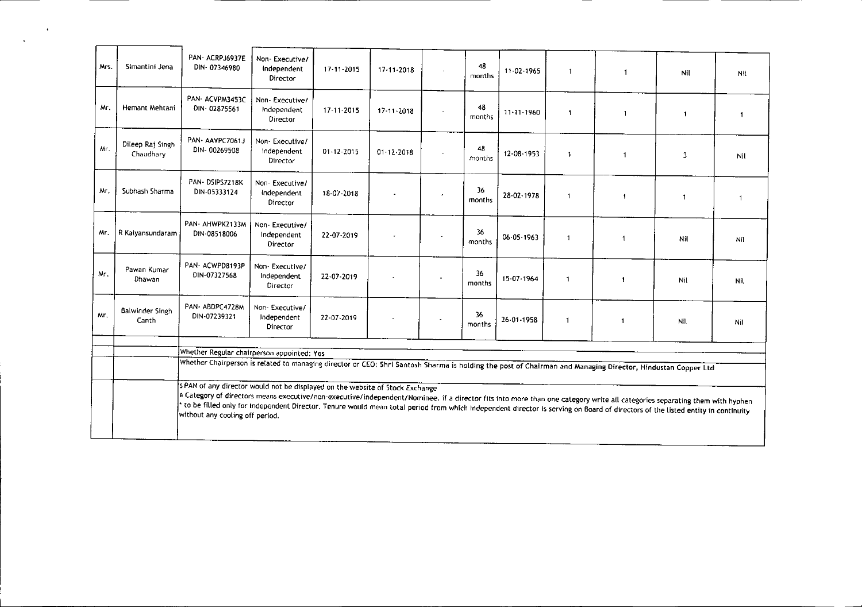| Mrs. | Simantini Jena                  | PAN-ACRPJ6937E<br>DIN-07346980                                                                                                                                                                                                                                                                                                                                                                                                                                                   | Non-Executive/<br>Independent<br>Director   | $17 - 11 - 2015$ | 17-11-2018            | $\sim$         | 48<br>months | 11-02-1965       | $\mathbf{1}$            | $\mathbf{1}$             | Nil.           | Nit            |
|------|---------------------------------|----------------------------------------------------------------------------------------------------------------------------------------------------------------------------------------------------------------------------------------------------------------------------------------------------------------------------------------------------------------------------------------------------------------------------------------------------------------------------------|---------------------------------------------|------------------|-----------------------|----------------|--------------|------------------|-------------------------|--------------------------|----------------|----------------|
| Mr.  | Hemant Mehtani                  | PAN ACVPM3453C<br>DIN-02875561                                                                                                                                                                                                                                                                                                                                                                                                                                                   | Non-Executive/<br>Independent<br>Director   | 17-11-2015       | 17-11-2018            |                | 48<br>months | $11 - 11 - 1960$ | $\overline{\mathbf{1}}$ | $\mathbf{1}$             | $\blacksquare$ | $\overline{1}$ |
| Mr.  | Dileep Raj Singh<br>Chaudhary   | PAN-AAVPC7061J<br>DIN-00269508                                                                                                                                                                                                                                                                                                                                                                                                                                                   | Non-Executive/<br>Independent<br>Director   | $01 - 12 - 2015$ | $01 - 12 - 2018$      | $\blacksquare$ | 48<br>months | 12-08-1953       | $\overline{\mathbf{1}}$ | $\mathbf{1}$             | 3              | Nil            |
| Mr.  | Subhash Sharma                  | PAN-DSIPS7218K<br>DIN-05333124                                                                                                                                                                                                                                                                                                                                                                                                                                                   | Non-Executive/<br>Independent<br>Director   | 18-07-2018       |                       |                | 36<br>months | 28-02-1978       | $\mathbf{1}$            | $\overline{\phantom{a}}$ | $\mathbf{1}$   | $\mathbf{1}$   |
| Mr.  | R Kalyansundaram                | PAN- AHWPK2133M<br>DIN-08518006                                                                                                                                                                                                                                                                                                                                                                                                                                                  | Non-Executive/<br>Independent<br>Director   | 22-07-2019       |                       | $\Delta$       | 36<br>months | 06-05-1963       | $\mathbf{1}$            | $\overline{\mathbf{1}}$  | Nil            | Nil            |
| Mr.  | Pawan Kumar<br>Dhawan           | PAN-ACWPD8193P<br>DIN-07327568                                                                                                                                                                                                                                                                                                                                                                                                                                                   | Non - Executive/<br>Independent<br>Director | 22-07-2019       |                       |                | 36<br>months | 15-07-1964       | $\mathbf{1}$            | $\blacksquare$           | Nil            | Nil            |
| Mr.  | <b>Balwinder Singh</b><br>Canth | PAN-ABDPC4728M<br>DIN-07239321                                                                                                                                                                                                                                                                                                                                                                                                                                                   | Non-Executive/<br>Independent<br>Director   | 22-07-2019       | $\tilde{\phantom{a}}$ | $\sim$         | 36<br>months | 26-01-1958       | $\mathbf{1}$            | $\mathbf{1}$             | Nil            | Nil            |
|      |                                 | Whether Regular chairperson appointed: Yes                                                                                                                                                                                                                                                                                                                                                                                                                                       |                                             |                  |                       |                |              |                  |                         |                          |                |                |
|      |                                 | Whether Chairperson is related to managing director or CEO: Shri Santosh Sharma is holding the post of Chairman and Managing Director, Hindustan Copper Ltd                                                                                                                                                                                                                                                                                                                      |                                             |                  |                       |                |              |                  |                         |                          |                |                |
|      |                                 | S PAN of any director would not be displayed on the website of Stock Exchange<br>e Category of directors means executive/non-executive/independent/Nominee. if a director fits into more than one category write all categories separating them with hyphen<br>to be filled only for Independent Director. Tenure would mean total period from which independent director is serving on Board of directors of the listed entity in continuity<br>without any cooling off period. |                                             |                  |                       |                |              |                  |                         |                          |                |                |

"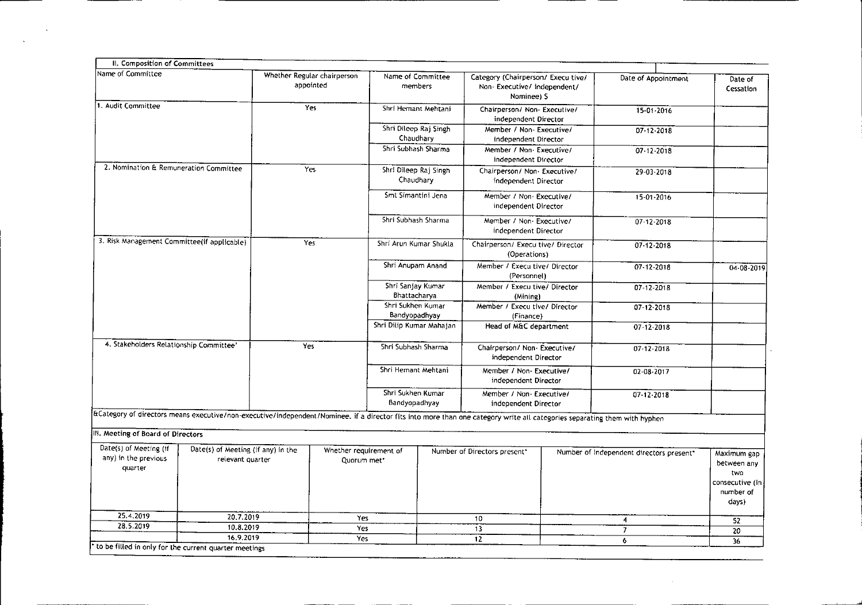| II. Composition of Committees                                                                                                                                              |                                             |     |                                          |                                                                         |                                                                             |                                                                                                         |                  |                                          |                                                                            |
|----------------------------------------------------------------------------------------------------------------------------------------------------------------------------|---------------------------------------------|-----|------------------------------------------|-------------------------------------------------------------------------|-----------------------------------------------------------------------------|---------------------------------------------------------------------------------------------------------|------------------|------------------------------------------|----------------------------------------------------------------------------|
| Name of Committee                                                                                                                                                          |                                             |     | Whether Regular chairperson<br>appointed |                                                                         | Name of Committee<br>members                                                | Category (Chairperson/ Execu tive/<br>Non-Executive/ independent/<br>Nominee) S                         |                  | Date of Appointment                      | Date of<br>Cessation                                                       |
| 1. Audit Committee                                                                                                                                                         |                                             |     | Yes                                      |                                                                         | Shri Hemant Mehtani                                                         | Chairperson/ Non- Executive/<br>independent Director                                                    |                  | 15-01-2016                               |                                                                            |
|                                                                                                                                                                            |                                             |     |                                          |                                                                         | Shri Dileep Raj Singh<br>Chaudhary                                          | Member / Non-Executive/<br>independent Director                                                         |                  | $07 - 12 - 2018$                         |                                                                            |
|                                                                                                                                                                            |                                             |     |                                          | Shri Subhash Sharma                                                     |                                                                             | Member / Non-Executive/<br>independent Director                                                         |                  | $07 - 12 - 2018$                         |                                                                            |
| 2. Nomination & Remuneration Committee                                                                                                                                     |                                             | Yes |                                          |                                                                         | Shri Dileep Raj Singh<br>Chaudhary                                          | Chairperson/ Non-Executive/<br>independent Director                                                     |                  | 29-03-2018                               |                                                                            |
|                                                                                                                                                                            |                                             |     |                                          |                                                                         | Smt Simantini Jena                                                          | Member / Non- Executive/<br>independent Director                                                        |                  | 15-01-2016                               |                                                                            |
|                                                                                                                                                                            |                                             |     |                                          | Shri Subhash Sharma                                                     |                                                                             | Member / Non- Executive/<br>independent Director                                                        |                  | $07 - 12 - 2018$                         |                                                                            |
|                                                                                                                                                                            | 3. Risk Management Committee(if applicable) |     | Yes                                      |                                                                         | Shri Arun Kumar Shukla<br>Chairperson/ Execu tive/ Director<br>(Operations) |                                                                                                         | $07 - 12 - 2018$ |                                          |                                                                            |
|                                                                                                                                                                            |                                             |     |                                          | Shri Anupam Anand                                                       |                                                                             | Member / Execultive/ Director<br>(Personnel)                                                            |                  | 07-12-2018                               | 04-08-2019                                                                 |
|                                                                                                                                                                            |                                             |     |                                          | Shri Sanjay Kumar<br>Bhattacharya<br>Shri Sukhen Kumar<br>Bandyopadhyay |                                                                             | Member / Execu tive/ Director<br>(Mining)<br>Member / Execu tive/ Director<br>(Finance)                 |                  | 07-12-2018                               |                                                                            |
|                                                                                                                                                                            |                                             |     |                                          |                                                                         |                                                                             |                                                                                                         |                  | $07 - 12 - 2018$                         |                                                                            |
|                                                                                                                                                                            |                                             |     |                                          | Shri Dilip Kumar Mahajan                                                |                                                                             | Head of M&C department                                                                                  |                  | 07-12-2018                               |                                                                            |
| 4. Stakeholders Relationship Committee'                                                                                                                                    |                                             | Yes |                                          | Shri Subhash Sharma<br>Shri Hemant Mehtani                              |                                                                             | Chairperson/ Non-Executive/<br>independent Director<br>Member / Non- Executive/<br>independent Director |                  | 07-12-2018                               |                                                                            |
|                                                                                                                                                                            |                                             |     |                                          |                                                                         |                                                                             |                                                                                                         |                  | 02-08-2017                               |                                                                            |
|                                                                                                                                                                            |                                             |     |                                          | Shri Sukhen Kumar<br>Bandyopadhyay                                      |                                                                             | Member / Non-Executive/<br>independent Director                                                         |                  | $07 - 12 - 2018$                         |                                                                            |
| a Category of directors means executive/non-executive/independent/Nominee. if a director fits into more than one category write all categories separating them with hyphen |                                             |     |                                          |                                                                         |                                                                             |                                                                                                         |                  |                                          |                                                                            |
| III. Meeting of Board of Directors                                                                                                                                         |                                             |     |                                          |                                                                         |                                                                             |                                                                                                         |                  |                                          |                                                                            |
| Date(s) of Meeting (if<br>Date(s) of Meeting (if any) in the<br>any) in the previous<br>relevant quarter<br>quarter                                                        |                                             |     |                                          | Whether requirement of<br>Quorum met*                                   |                                                                             | Number of Directors present*                                                                            |                  | Number of independent directors present* | Maximum gap<br>between any<br>two<br>consecutive (in<br>number of<br>days) |
| 25.4.2019                                                                                                                                                                  | 20.7.2019                                   |     | Yes                                      |                                                                         |                                                                             | 10                                                                                                      |                  | 4                                        | 52                                                                         |
| 28.5.2019                                                                                                                                                                  | 10.8.2019<br>16.9.2019                      |     | Yes<br>Yes                               |                                                                         |                                                                             | 13                                                                                                      |                  | $\overline{7}$                           | 20                                                                         |
| to be filled in only for the current quarter meetings                                                                                                                      |                                             |     |                                          |                                                                         |                                                                             | 12                                                                                                      |                  | 6                                        | $\overline{36}$                                                            |

 $\mathcal{L}^{\text{max}}_{\text{max}}$  and  $\mathcal{L}^{\text{max}}_{\text{max}}$ 

 $\sim 100$  km s  $^{-1}$  .

 $\bar{\mathbf{X}}$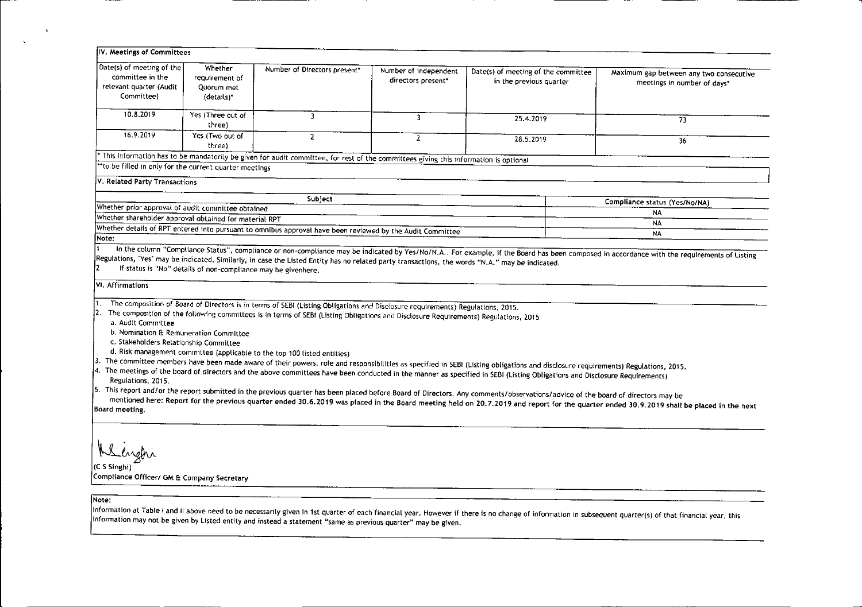| Date(s) of meeting of the                                                                                                  | Whether           |                                                                                                                                                                                                                                                                       |                       |                                                                                                                                                                                                                                                                                                                                                                                                                                                                                                                                                      |                                                                                                                                                                                           |
|----------------------------------------------------------------------------------------------------------------------------|-------------------|-----------------------------------------------------------------------------------------------------------------------------------------------------------------------------------------------------------------------------------------------------------------------|-----------------------|------------------------------------------------------------------------------------------------------------------------------------------------------------------------------------------------------------------------------------------------------------------------------------------------------------------------------------------------------------------------------------------------------------------------------------------------------------------------------------------------------------------------------------------------------|-------------------------------------------------------------------------------------------------------------------------------------------------------------------------------------------|
| committee in the                                                                                                           | requirement of    | Number of Directors present*                                                                                                                                                                                                                                          | Number of independent | Date(s) of meeting of the committee                                                                                                                                                                                                                                                                                                                                                                                                                                                                                                                  | Maximum gap between any two consecutive                                                                                                                                                   |
| relevant quarter (Audit                                                                                                    | Quorum met        |                                                                                                                                                                                                                                                                       | directors present*    | in the previous quarter                                                                                                                                                                                                                                                                                                                                                                                                                                                                                                                              | meetings in number of days*                                                                                                                                                               |
| Committee)                                                                                                                 | (details)*        |                                                                                                                                                                                                                                                                       |                       |                                                                                                                                                                                                                                                                                                                                                                                                                                                                                                                                                      |                                                                                                                                                                                           |
|                                                                                                                            |                   |                                                                                                                                                                                                                                                                       |                       |                                                                                                                                                                                                                                                                                                                                                                                                                                                                                                                                                      |                                                                                                                                                                                           |
| 10.8.2019                                                                                                                  | Yes (Three out of | 3<br>$\overline{\mathbf{3}}$<br>25.4.2019                                                                                                                                                                                                                             |                       |                                                                                                                                                                                                                                                                                                                                                                                                                                                                                                                                                      |                                                                                                                                                                                           |
|                                                                                                                            | three)            |                                                                                                                                                                                                                                                                       |                       |                                                                                                                                                                                                                                                                                                                                                                                                                                                                                                                                                      | 73                                                                                                                                                                                        |
| 16.9.2019                                                                                                                  | Yes (Two out of   | $\overline{2}$                                                                                                                                                                                                                                                        | $\overline{2}$        | 28.5.2019                                                                                                                                                                                                                                                                                                                                                                                                                                                                                                                                            | 36                                                                                                                                                                                        |
|                                                                                                                            | three)            |                                                                                                                                                                                                                                                                       |                       |                                                                                                                                                                                                                                                                                                                                                                                                                                                                                                                                                      |                                                                                                                                                                                           |
|                                                                                                                            |                   | This information has to be mandatorily be given for audit committee, for rest of the committees giving this information is optional                                                                                                                                   |                       |                                                                                                                                                                                                                                                                                                                                                                                                                                                                                                                                                      |                                                                                                                                                                                           |
| "to be filled in only for the current quarter meetings                                                                     |                   |                                                                                                                                                                                                                                                                       |                       |                                                                                                                                                                                                                                                                                                                                                                                                                                                                                                                                                      |                                                                                                                                                                                           |
| V. Related Party Transactions                                                                                              |                   |                                                                                                                                                                                                                                                                       |                       |                                                                                                                                                                                                                                                                                                                                                                                                                                                                                                                                                      |                                                                                                                                                                                           |
|                                                                                                                            |                   |                                                                                                                                                                                                                                                                       |                       |                                                                                                                                                                                                                                                                                                                                                                                                                                                                                                                                                      |                                                                                                                                                                                           |
| Whether prior approval of audit committee obtained                                                                         |                   | Subject                                                                                                                                                                                                                                                               |                       |                                                                                                                                                                                                                                                                                                                                                                                                                                                                                                                                                      | Compliance status (Yes/No/NA)                                                                                                                                                             |
| Whether shareholder approval obtained for material RPT                                                                     |                   |                                                                                                                                                                                                                                                                       |                       |                                                                                                                                                                                                                                                                                                                                                                                                                                                                                                                                                      | <b>NA</b>                                                                                                                                                                                 |
|                                                                                                                            |                   | Whether details of RPT entered into pursuant to omnibus approval have been reviewed by the Audit Committee                                                                                                                                                            |                       |                                                                                                                                                                                                                                                                                                                                                                                                                                                                                                                                                      | NA                                                                                                                                                                                        |
| Note:                                                                                                                      |                   |                                                                                                                                                                                                                                                                       |                       |                                                                                                                                                                                                                                                                                                                                                                                                                                                                                                                                                      | ΝA                                                                                                                                                                                        |
|                                                                                                                            |                   |                                                                                                                                                                                                                                                                       |                       |                                                                                                                                                                                                                                                                                                                                                                                                                                                                                                                                                      | In the column "Compliance Status", compliance or non-compliance may be indicated by Yes/No/N.A For example, if the Board has been composed in accordance with the requirements of Listing |
| VI. Affirmations<br>a. Audit Committee<br>b. Nomination & Remuneration Committee<br>c. Stakeholders Retationship Committee |                   | The composition of Board of Directors is in terms of SEBI (Listing Obligations and Disclosure requirements) Regulations, 2015.<br>The composition of the following committees is in terms of SEBI (Listing Obligations and Disclosure Requirements) Regulations, 2015 |                       |                                                                                                                                                                                                                                                                                                                                                                                                                                                                                                                                                      |                                                                                                                                                                                           |
| d. Risk management committee (applicable to the top 100 listed entities)<br>Regulations, 2015.                             |                   |                                                                                                                                                                                                                                                                       |                       | 3. The committee members have been made aware of their powers, role and responsibilities as specified in SEBI (Listing obligations and disclosure requirements) Regulations, 2015.<br>4. The meetings of the board of directors and the above committees have been conducted in the manner as specified in SEBI (Listing Obligations and Disclosure Requirements)<br>5. This report and/or the report submitted in the previous quarter has been placed before Board of Directors. Any comments/observations/advice of the board of directors may be | mentioned here: Report for the previous quarter ended 30.6.2019 was placed in the Board meeting held on 20.7.2019 and report for the quarter ended 30.9.2019 shall be placed in the next  |

## Note:

 $\Delta$ 

 $\mathcal{A}$ 

information at Table Fand II above need to be necessarily given in 1st quarter of each financial year. However if there is no change of information in subsequent quarter(s) of that financial year, this<br>information may not